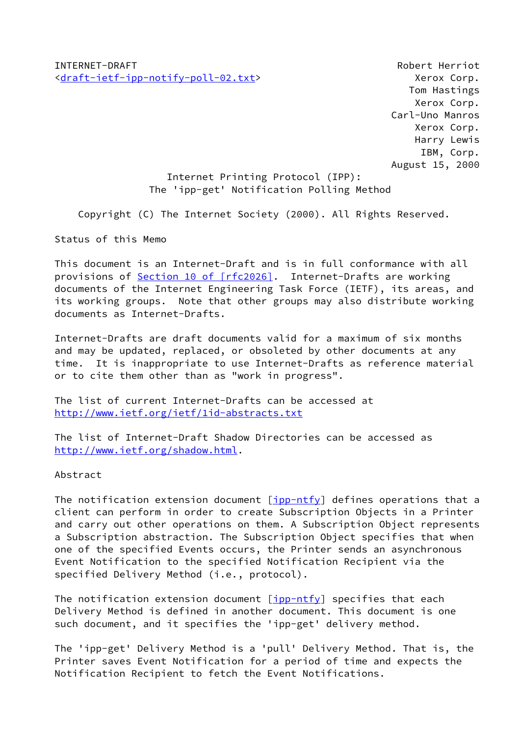INTERNET-DRAFT Robert Herriot [<draft-ietf-ipp-notify-poll-02.txt>](https://datatracker.ietf.org/doc/pdf/draft-ietf-ipp-notify-poll-02.txt) Xerox Corp.

 Tom Hastings Xerox Corp. Carl-Uno Manros Xerox Corp. Harry Lewis IBM, Corp. August 15, 2000

# Internet Printing Protocol (IPP): The 'ipp-get' Notification Polling Method

Copyright (C) The Internet Society (2000). All Rights Reserved.

Status of this Memo

This document is an Internet-Draft and is in full conformance with all provisions of Section [10 of \[rfc2026\]](https://datatracker.ietf.org/doc/pdf/rfc2026#section-10). Internet-Drafts are working documents of the Internet Engineering Task Force (IETF), its areas, and its working groups. Note that other groups may also distribute working documents as Internet-Drafts.

Internet-Drafts are draft documents valid for a maximum of six months and may be updated, replaced, or obsoleted by other documents at any time. It is inappropriate to use Internet-Drafts as reference material or to cite them other than as "work in progress".

The list of current Internet-Drafts can be accessed at <http://www.ietf.org/ietf/1id-abstracts.txt>

The list of Internet-Draft Shadow Directories can be accessed as <http://www.ietf.org/shadow.html>.

#### Abstract

The notification extension document  $[ipp-ntfy]$  $[ipp-ntfy]$  defines operations that a client can perform in order to create Subscription Objects in a Printer and carry out other operations on them. A Subscription Object represents a Subscription abstraction. The Subscription Object specifies that when one of the specified Events occurs, the Printer sends an asynchronous Event Notification to the specified Notification Recipient via the specified Delivery Method (i.e., protocol).

The notification extension document  $\frac{ipp-ntfy}{p}$  specifies that each Delivery Method is defined in another document. This document is one such document, and it specifies the 'ipp-get' delivery method.

The 'ipp-get' Delivery Method is a 'pull' Delivery Method. That is, the Printer saves Event Notification for a period of time and expects the Notification Recipient to fetch the Event Notifications.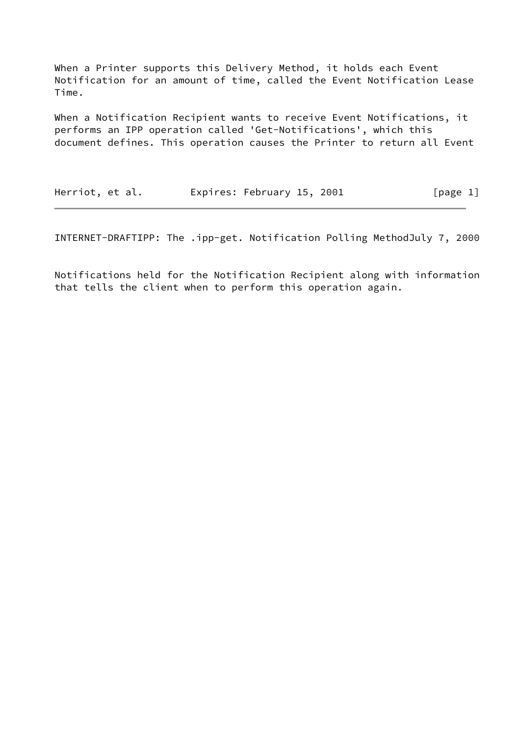When a Printer supports this Delivery Method, it holds each Event Notification for an amount of time, called the Event Notification Lease Time.

When a Notification Recipient wants to receive Event Notifications, it performs an IPP operation called 'Get-Notifications', which this document defines. This operation causes the Printer to return all Event

Herriot, et al. **Expires: February 15, 2001** [page 1]

INTERNET-DRAFTIPP: The .ipp-get. Notification Polling MethodJuly 7, 2000

Notifications held for the Notification Recipient along with information that tells the client when to perform this operation again.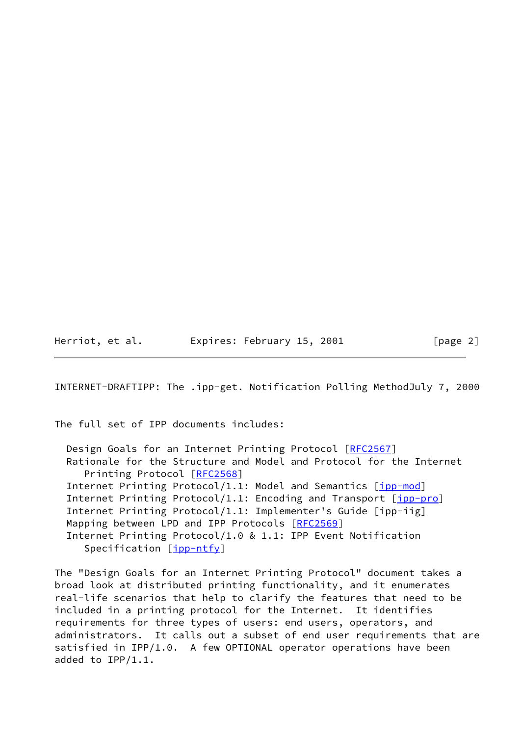Herriot, et al. Expires: February 15, 2001 [page 2]

INTERNET-DRAFTIPP: The .ipp-get. Notification Polling MethodJuly 7, 2000

The full set of IPP documents includes:

Design Goals for an Internet Printing Protocol [[RFC2567](https://datatracker.ietf.org/doc/pdf/rfc2567)] Rationale for the Structure and Model and Protocol for the Internet Printing Protocol [\[RFC2568](https://datatracker.ietf.org/doc/pdf/rfc2568)] Internet Printing Protocol/1.1: Model and Semantics [[ipp-mod\]](#page-18-1) Internet Printing Protocol/1.1: Encoding and Transport [[ipp-pro](#page-19-0)] Internet Printing Protocol/1.1: Implementer's Guide [ipp-iig] Mapping between LPD and IPP Protocols [\[RFC2569](https://datatracker.ietf.org/doc/pdf/rfc2569)] Internet Printing Protocol/1.0 & 1.1: IPP Event Notification Specification [\[ipp-ntfy](#page-18-0)]

The "Design Goals for an Internet Printing Protocol" document takes a broad look at distributed printing functionality, and it enumerates real-life scenarios that help to clarify the features that need to be included in a printing protocol for the Internet. It identifies requirements for three types of users: end users, operators, and administrators. It calls out a subset of end user requirements that are satisfied in IPP/1.0. A few OPTIONAL operator operations have been added to IPP/1.1.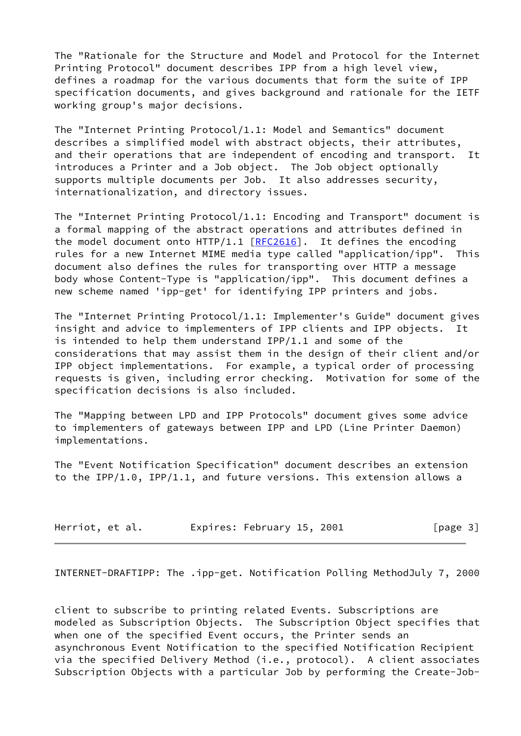The "Rationale for the Structure and Model and Protocol for the Internet Printing Protocol" document describes IPP from a high level view, defines a roadmap for the various documents that form the suite of IPP specification documents, and gives background and rationale for the IETF working group's major decisions.

The "Internet Printing Protocol/1.1: Model and Semantics" document describes a simplified model with abstract objects, their attributes, and their operations that are independent of encoding and transport. It introduces a Printer and a Job object. The Job object optionally supports multiple documents per Job. It also addresses security, internationalization, and directory issues.

The "Internet Printing Protocol/1.1: Encoding and Transport" document is a formal mapping of the abstract operations and attributes defined in the model document onto  $HTTP/1.1$   $[RFC2616]$  $[RFC2616]$  $[RFC2616]$ . It defines the encoding rules for a new Internet MIME media type called "application/ipp". This document also defines the rules for transporting over HTTP a message body whose Content-Type is "application/ipp". This document defines a new scheme named 'ipp-get' for identifying IPP printers and jobs.

The "Internet Printing Protocol/1.1: Implementer's Guide" document gives insight and advice to implementers of IPP clients and IPP objects. It is intended to help them understand IPP/1.1 and some of the considerations that may assist them in the design of their client and/or IPP object implementations. For example, a typical order of processing requests is given, including error checking. Motivation for some of the specification decisions is also included.

The "Mapping between LPD and IPP Protocols" document gives some advice to implementers of gateways between IPP and LPD (Line Printer Daemon) implementations.

The "Event Notification Specification" document describes an extension to the IPP/1.0, IPP/1.1, and future versions. This extension allows a

| Herriot, et al. |  | Expires: February 15, 2001 |  |  | [page 3] |  |  |
|-----------------|--|----------------------------|--|--|----------|--|--|
|-----------------|--|----------------------------|--|--|----------|--|--|

INTERNET-DRAFTIPP: The .ipp-get. Notification Polling MethodJuly 7, 2000

client to subscribe to printing related Events. Subscriptions are modeled as Subscription Objects. The Subscription Object specifies that when one of the specified Event occurs, the Printer sends an asynchronous Event Notification to the specified Notification Recipient via the specified Delivery Method (i.e., protocol). A client associates Subscription Objects with a particular Job by performing the Create-Job-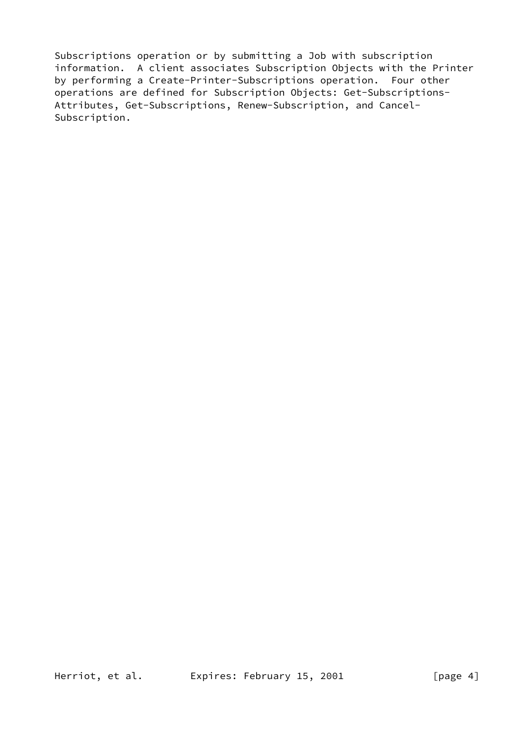Subscriptions operation or by submitting a Job with subscription information. A client associates Subscription Objects with the Printer by performing a Create-Printer-Subscriptions operation. Four other operations are defined for Subscription Objects: Get-Subscriptions-Attributes, Get-Subscriptions, Renew-Subscription, and Cancel-Subscription.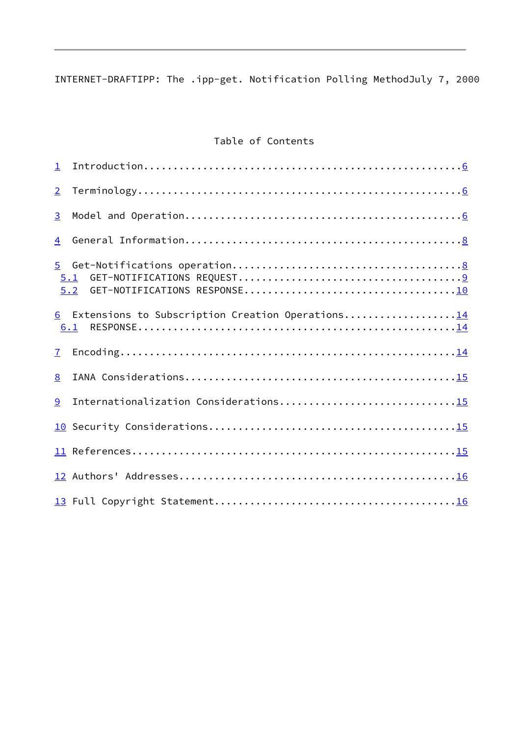INTERNET-DRAFTIPP: The .ipp-get. Notification Polling MethodJuly 7, 2000

# Table of Contents

| $\mathbf{1}$          |                                                         |
|-----------------------|---------------------------------------------------------|
| $\overline{2}$        |                                                         |
| 3                     |                                                         |
| 4                     |                                                         |
| 5 <sup>1</sup><br>5.1 | 5.2                                                     |
|                       | 6 Extensions to Subscription Creation Operations<br>6.1 |
| $\mathbf{7}$          |                                                         |
| 8                     |                                                         |
| 9                     | Internationalization Considerations15                   |
| 10 <sub>1</sub>       |                                                         |
|                       |                                                         |
|                       |                                                         |
|                       |                                                         |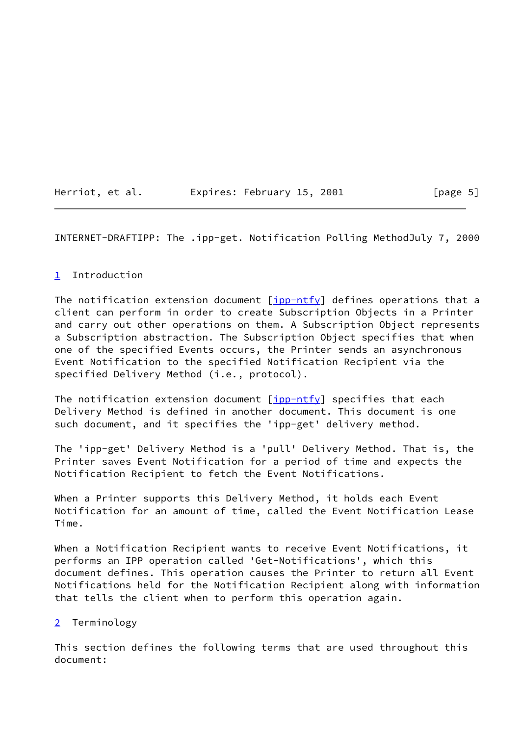| Herriot, et al. |  | Expires: February 15, 2001 |  |  |
|-----------------|--|----------------------------|--|--|
|                 |  |                            |  |  |

 $[page 5]$ 

<span id="page-6-1"></span>INTERNET-DRAFTIPP: The .ipp-get. Notification Polling MethodJuly 7, 2000

### <span id="page-6-0"></span>[1](#page-6-0) Introduction

The notification extension document  $\lceil \text{ipp-ntfy} \rceil$  defines operations that a client can perform in order to create Subscription Objects in a Printer and carry out other operations on them. A Subscription Object represents a Subscription abstraction. The Subscription Object specifies that when one of the specified Events occurs, the Printer sends an asynchronous Event Notification to the specified Notification Recipient via the specified Delivery Method (i.e., protocol).

The notification extension document  $[ipp-ntfy]$  $[ipp-ntfy]$  specifies that each Delivery Method is defined in another document. This document is one such document, and it specifies the 'ipp-get' delivery method.

The 'ipp-get' Delivery Method is a 'pull' Delivery Method. That is, the Printer saves Event Notification for a period of time and expects the Notification Recipient to fetch the Event Notifications.

When a Printer supports this Delivery Method, it holds each Event Notification for an amount of time, called the Event Notification Lease Time.

When a Notification Recipient wants to receive Event Notifications, it performs an IPP operation called 'Get-Notifications', which this document defines. This operation causes the Printer to return all Event Notifications held for the Notification Recipient along with information that tells the client when to perform this operation again.

#### <span id="page-6-2"></span>[2](#page-6-2) Terminology

This section defines the following terms that are used throughout this document: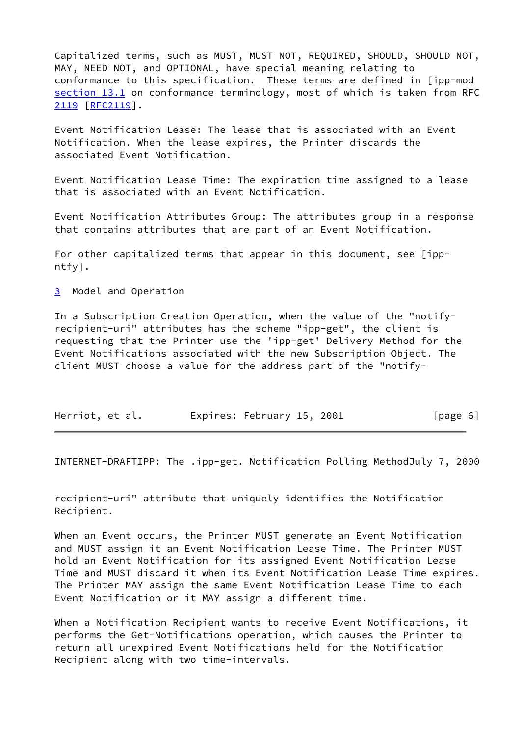Capitalized terms, such as MUST, MUST NOT, REQUIRED, SHOULD, SHOULD NOT, MAY, NEED NOT, and OPTIONAL, have special meaning relating to conformance to this specification. These terms are defined in [ipp-mod section 13.1 on conformance terminology, most of which is taken from RFC [2119](#page-7-1) [[RFC2119](https://datatracker.ietf.org/doc/pdf/rfc2119)].

<span id="page-7-1"></span>Event Notification Lease: The lease that is associated with an Event Notification. When the lease expires, the Printer discards the associated Event Notification.

Event Notification Lease Time: The expiration time assigned to a lease that is associated with an Event Notification.

Event Notification Attributes Group: The attributes group in a response that contains attributes that are part of an Event Notification.

For other capitalized terms that appear in this document, see [ippntfy].

<span id="page-7-0"></span>[3](#page-7-0) Model and Operation

In a Subscription Creation Operation, when the value of the "notifyrecipient-uri" attributes has the scheme "ipp-get", the client is requesting that the Printer use the 'ipp-get' Delivery Method for the Event Notifications associated with the new Subscription Object. The client MUST choose a value for the address part of the "notify-

| Herriot, et al. | Expires: February 15, 2001 | [page 6] |
|-----------------|----------------------------|----------|
|-----------------|----------------------------|----------|

INTERNET-DRAFTIPP: The .ipp-get. Notification Polling MethodJuly 7, 2000

recipient-uri" attribute that uniquely identifies the Notification Recipient.

When an Event occurs, the Printer MUST generate an Event Notification and MUST assign it an Event Notification Lease Time. The Printer MUST hold an Event Notification for its assigned Event Notification Lease Time and MUST discard it when its Event Notification Lease Time expires. The Printer MAY assign the same Event Notification Lease Time to each Event Notification or it MAY assign a different time.

When a Notification Recipient wants to receive Event Notifications, it performs the Get-Notifications operation, which causes the Printer to return all unexpired Event Notifications held for the Notification Recipient along with two time-intervals.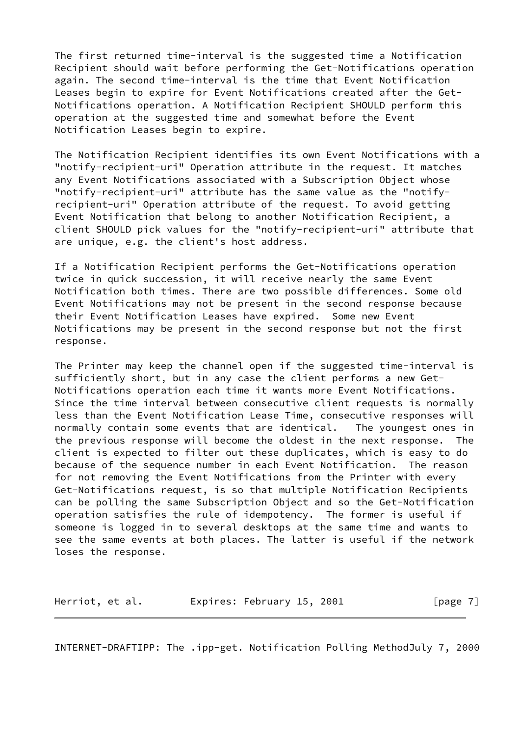The first returned time-interval is the suggested time a Notification Recipient should wait before performing the Get-Notifications operation again. The second time-interval is the time that Event Notification Leases begin to expire for Event Notifications created after the Get-Notifications operation. A Notification Recipient SHOULD perform this operation at the suggested time and somewhat before the Event Notification Leases begin to expire.

The Notification Recipient identifies its own Event Notifications with a "notify-recipient-uri" Operation attribute in the request. It matches any Event Notifications associated with a Subscription Object whose "notify-recipient-uri" attribute has the same value as the "notifyrecipient-uri" Operation attribute of the request. To avoid getting Event Notification that belong to another Notification Recipient, a client SHOULD pick values for the "notify-recipient-uri" attribute that are unique, e.g. the client's host address.

If a Notification Recipient performs the Get-Notifications operation twice in quick succession, it will receive nearly the same Event Notification both times. There are two possible differences. Some old Event Notifications may not be present in the second response because their Event Notification Leases have expired. Some new Event Notifications may be present in the second response but not the first response.

The Printer may keep the channel open if the suggested time-interval is sufficiently short, but in any case the client performs a new Get-Notifications operation each time it wants more Event Notifications. Since the time interval between consecutive client requests is normally less than the Event Notification Lease Time, consecutive responses will normally contain some events that are identical. The youngest ones in the previous response will become the oldest in the next response. The client is expected to filter out these duplicates, which is easy to do because of the sequence number in each Event Notification. The reason for not removing the Event Notifications from the Printer with every Get-Notifications request, is so that multiple Notification Recipients can be polling the same Subscription Object and so the Get-Notification operation satisfies the rule of idempotency. The former is useful if someone is logged in to several desktops at the same time and wants to see the same events at both places. The latter is useful if the network loses the response.

| Herriot, et al. | Expires: February 15, 2001 | [ $page 7$ ] |
|-----------------|----------------------------|--------------|
|-----------------|----------------------------|--------------|

<span id="page-8-0"></span>INTERNET-DRAFTIPP: The .ipp-get. Notification Polling MethodJuly 7, 2000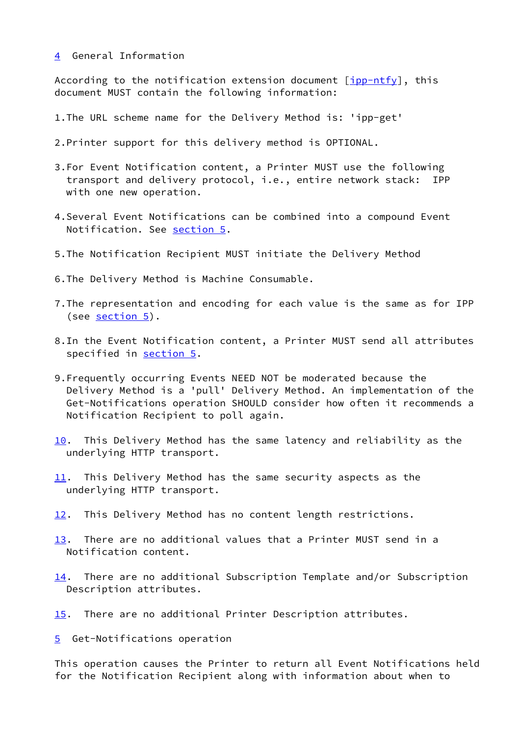<span id="page-9-0"></span>[4](#page-9-0) General Information

According to the notification extension document  $\lceil$ [ipp-ntfy\]](#page-18-0), this document MUST contain the following information:

- 1.The URL scheme name for the Delivery Method is: 'ipp-get'
- 2.Printer support for this delivery method is OPTIONAL.
- 3.For Event Notification content, a Printer MUST use the following transport and delivery protocol, i.e., entire network stack: IPP with one new operation.
- 4.Several Event Notifications can be combined into a compound Event Notification. See [section 5](#page-9-1).
- 5.The Notification Recipient MUST initiate the Delivery Method
- 6.The Delivery Method is Machine Consumable.
- 7.The representation and encoding for each value is the same as for IPP (see [section 5\)](#page-9-1).
- 8.In the Event Notification content, a Printer MUST send all attributes specified in [section 5.](#page-9-1)
- 9.Frequently occurring Events NEED NOT be moderated because the Delivery Method is a 'pull' Delivery Method. An implementation of the Get-Notifications operation SHOULD consider how often it recommends a Notification Recipient to poll again.
- <span id="page-9-2"></span>[10.](#page-9-2) This Delivery Method has the same latency and reliability as the underlying HTTP transport.
- <span id="page-9-3"></span>[11.](#page-9-3) This Delivery Method has the same security aspects as the underlying HTTP transport.
- <span id="page-9-4"></span>[12.](#page-9-4) This Delivery Method has no content length restrictions.
- <span id="page-9-5"></span>[13.](#page-9-5) There are no additional values that a Printer MUST send in a Notification content.
- <span id="page-9-6"></span>[14.](#page-9-6) There are no additional Subscription Template and/or Subscription Description attributes.
- <span id="page-9-7"></span>[15.](#page-9-7) There are no additional Printer Description attributes.

<span id="page-9-1"></span>[5](#page-9-1) Get-Notifications operation

This operation causes the Printer to return all Event Notifications held for the Notification Recipient along with information about when to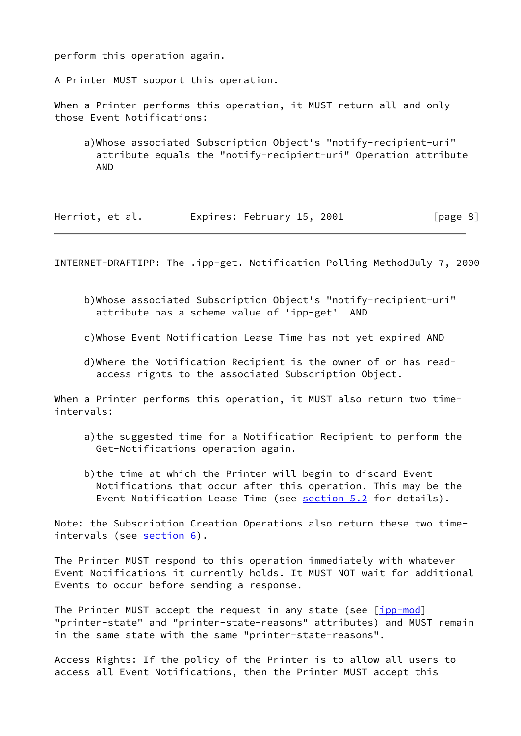perform this operation again.

A Printer MUST support this operation.

When a Printer performs this operation, it MUST return all and only those Event Notifications:

 a)Whose associated Subscription Object's "notify-recipient-uri" attribute equals the "notify-recipient-uri" Operation attribute AND

| Herriot, et al. | Expires: February 15, 2001 | [page 8] |
|-----------------|----------------------------|----------|
|-----------------|----------------------------|----------|

<span id="page-10-0"></span>INTERNET-DRAFTIPP: The .ipp-get. Notification Polling MethodJuly 7, 2000

- b)Whose associated Subscription Object's "notify-recipient-uri" attribute has a scheme value of 'ipp-get' AND
- c)Whose Event Notification Lease Time has not yet expired AND
- d)Where the Notification Recipient is the owner of or has read access rights to the associated Subscription Object.

When a Printer performs this operation, it MUST also return two timeintervals:

- a)the suggested time for a Notification Recipient to perform the Get-Notifications operation again.
- b)the time at which the Printer will begin to discard Event Notifications that occur after this operation. This may be the Event Notification Lease Time (see [section 5.2](#page-12-0) for details).

Note: the Subscription Creation Operations also return these two timeintervals (see [section 6\)](#page-17-0).

The Printer MUST respond to this operation immediately with whatever Event Notifications it currently holds. It MUST NOT wait for additional Events to occur before sending a response.

The Printer MUST accept the request in any state (see [[ipp-mod\]](#page-18-1) "printer-state" and "printer-state-reasons" attributes) and MUST remain in the same state with the same "printer-state-reasons".

Access Rights: If the policy of the Printer is to allow all users to access all Event Notifications, then the Printer MUST accept this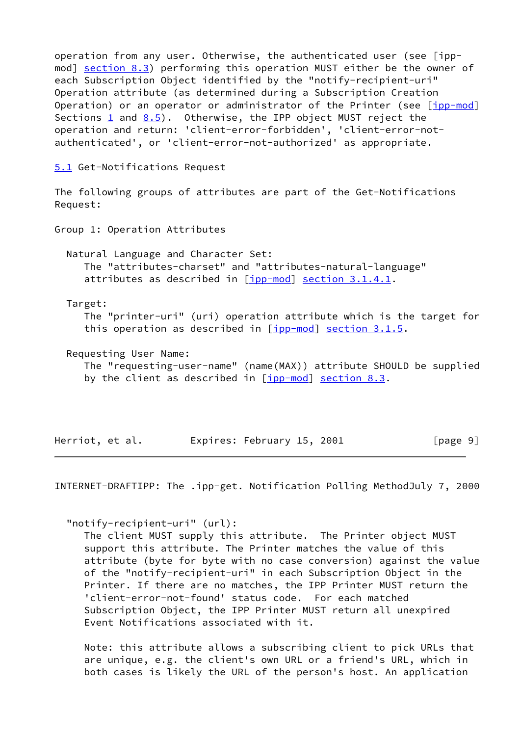operation from any user. Otherwise, the authenticated user (see [ippmod] section 8.3) performing this operation MUST either be the owner of each Subscription Object identified by the "notify-recipient-uri" Operation attribute (as determined during a Subscription Creation Operation) or an operator or administrator of the Printer (see [\[ipp-mod](#page-18-1)] Sections  $\underline{1}$  and  $\underline{8.5}$ . Otherwise, the IPP object MUST reject the operation and return: 'client-error-forbidden', 'client-error-notauthenticated', or 'client-error-not-authorized' as appropriate.

<span id="page-11-0"></span>[5.1](#page-11-0) Get-Notifications Request

The following groups of attributes are part of the Get-Notifications Request:

Group 1: Operation Attributes

 Natural Language and Character Set: The "attributes-charset" and "attributes-natural-language" attributes as described in [\[ipp-mod](#page-18-1)] section 3.1.4.1.

Target:

 The "printer-uri" (uri) operation attribute which is the target for this operation as described in  $[ipp-mod]$  $[ipp-mod]$  section 3.1.5.

Requesting User Name:

 The "requesting-user-name" (name(MAX)) attribute SHOULD be supplied by the client as described in  $[ipp-mod]$  $[ipp-mod]$  section 8.3.

Herriot, et al. Expires: February 15, 2001 [page 9]

<span id="page-11-1"></span>INTERNET-DRAFTIPP: The .ipp-get. Notification Polling MethodJuly 7, 2000

"notify-recipient-uri" (url):

 The client MUST supply this attribute. The Printer object MUST support this attribute. The Printer matches the value of this attribute (byte for byte with no case conversion) against the value of the "notify-recipient-uri" in each Subscription Object in the Printer. If there are no matches, the IPP Printer MUST return the 'client-error-not-found' status code. For each matched Subscription Object, the IPP Printer MUST return all unexpired Event Notifications associated with it.

 Note: this attribute allows a subscribing client to pick URLs that are unique, e.g. the client's own URL or a friend's URL, which in both cases is likely the URL of the person's host. An application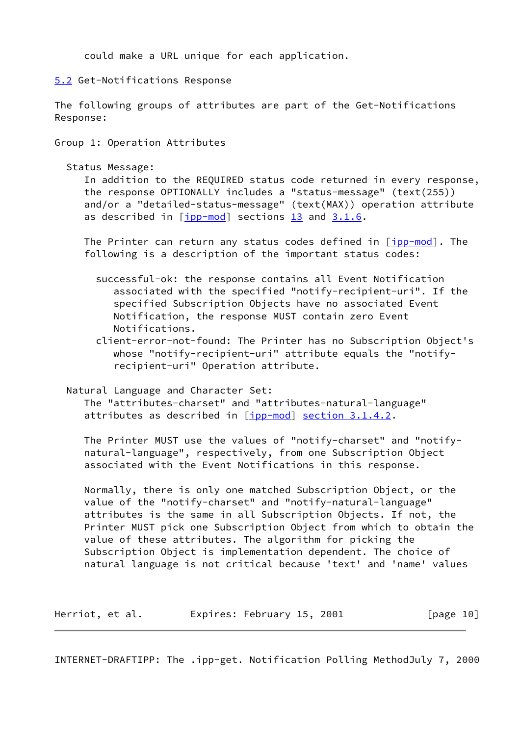could make a URL unique for each application.

<span id="page-12-0"></span>[5.2](#page-12-0) Get-Notifications Response

The following groups of attributes are part of the Get-Notifications Response:

Group 1: Operation Attributes

Status Message:

 In addition to the REQUIRED status code returned in every response, the response OPTIONALLY includes a "status-message" (text(255)) and/or a "detailed-status-message" (text(MAX)) operation attribute as described in  $[ipp-mod]$  $[ipp-mod]$  $[ipp-mod]$  sections  $13$  and  $3.1.6$ .

 The Printer can return any status codes defined in [\[ipp-mod](#page-18-1)]. The following is a description of the important status codes:

- successful-ok: the response contains all Event Notification associated with the specified "notify-recipient-uri". If the specified Subscription Objects have no associated Event Notification, the response MUST contain zero Event Notifications.
- client-error-not-found: The Printer has no Subscription Object's whose "notify-recipient-uri" attribute equals the "notify recipient-uri" Operation attribute.

Natural Language and Character Set:

 The "attributes-charset" and "attributes-natural-language" attributes as described in [\[ipp-mod](#page-18-1)] section 3.1.4.2.

 The Printer MUST use the values of "notify-charset" and "notify natural-language", respectively, from one Subscription Object associated with the Event Notifications in this response.

 Normally, there is only one matched Subscription Object, or the value of the "notify-charset" and "notify-natural-language" attributes is the same in all Subscription Objects. If not, the Printer MUST pick one Subscription Object from which to obtain the value of these attributes. The algorithm for picking the Subscription Object is implementation dependent. The choice of natural language is not critical because 'text' and 'name' values

Herriot, et al. Expires: February 15, 2001 [page 10]

INTERNET-DRAFTIPP: The .ipp-get. Notification Polling MethodJuly 7, 2000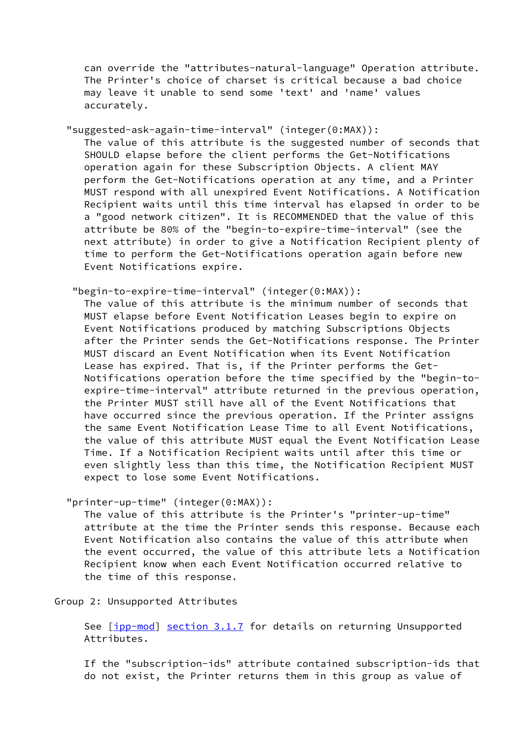can override the "attributes-natural-language" Operation attribute. The Printer's choice of charset is critical because a bad choice may leave it unable to send some 'text' and 'name' values accurately.

"suggested-ask-again-time-interval" (integer(0:MAX)):

 The value of this attribute is the suggested number of seconds that SHOULD elapse before the client performs the Get-Notifications operation again for these Subscription Objects. A client MAY perform the Get-Notifications operation at any time, and a Printer MUST respond with all unexpired Event Notifications. A Notification Recipient waits until this time interval has elapsed in order to be a "good network citizen". It is RECOMMENDED that the value of this attribute be 80% of the "begin-to-expire-time-interval" (see the next attribute) in order to give a Notification Recipient plenty of time to perform the Get-Notifications operation again before new Event Notifications expire.

"begin-to-expire-time-interval" (integer(0:MAX)):

 The value of this attribute is the minimum number of seconds that MUST elapse before Event Notification Leases begin to expire on Event Notifications produced by matching Subscriptions Objects after the Printer sends the Get-Notifications response. The Printer MUST discard an Event Notification when its Event Notification Lease has expired. That is, if the Printer performs the Get- Notifications operation before the time specified by the "begin-to expire-time-interval" attribute returned in the previous operation, the Printer MUST still have all of the Event Notifications that have occurred since the previous operation. If the Printer assigns the same Event Notification Lease Time to all Event Notifications, the value of this attribute MUST equal the Event Notification Lease Time. If a Notification Recipient waits until after this time or even slightly less than this time, the Notification Recipient MUST expect to lose some Event Notifications.

"printer-up-time" (integer(0:MAX)):

 The value of this attribute is the Printer's "printer-up-time" attribute at the time the Printer sends this response. Because each Event Notification also contains the value of this attribute when the event occurred, the value of this attribute lets a Notification Recipient know when each Event Notification occurred relative to the time of this response.

Group 2: Unsupported Attributes

See [[ipp-mod](#page-18-1)] section 3.1.7 for details on returning Unsupported Attributes.

 If the "subscription-ids" attribute contained subscription-ids that do not exist, the Printer returns them in this group as value of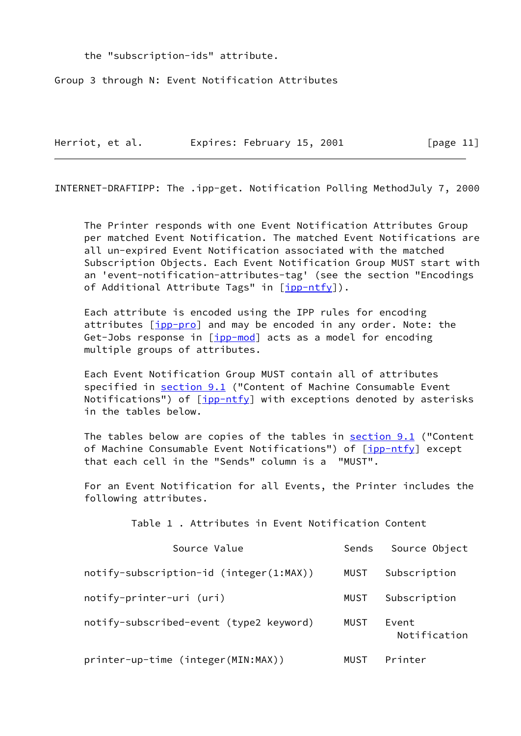the "subscription-ids" attribute.

Group 3 through N: Event Notification Attributes

| Herriot, et al. | Expires: February 15, 2001 | [ $page 11$ ] |
|-----------------|----------------------------|---------------|
|                 |                            |               |

INTERNET-DRAFTIPP: The .ipp-get. Notification Polling MethodJuly 7, 2000

 The Printer responds with one Event Notification Attributes Group per matched Event Notification. The matched Event Notifications are all un-expired Event Notification associated with the matched Subscription Objects. Each Event Notification Group MUST start with an 'event-notification-attributes-tag' (see the section "Encodings of Additional Attribute Tags" in [[ipp-ntfy\]](#page-18-0)).

 Each attribute is encoded using the IPP rules for encoding attributes [\[ipp-pro](#page-19-0)] and may be encoded in any order. Note: the Get-Jobs response in [\[ipp-mod](#page-18-1)] acts as a model for encoding multiple groups of attributes.

 Each Event Notification Group MUST contain all of attributes specified in section 9.1 ("Content of Machine Consumable Event Notifications") of  $[ipp-ntfy]$  $[ipp-ntfy]$  with exceptions denoted by asterisks in the tables below.

The tables below are copies of the tables in section 9.1 ("Content of Machine Consumable Event Notifications") of [\[ipp-ntfy](#page-18-0)] except that each cell in the "Sends" column is a "MUST".

 For an Event Notification for all Events, the Printer includes the following attributes.

| Table 1, Attributes in Event Notification Content |       |                       |
|---------------------------------------------------|-------|-----------------------|
| Source Value                                      | Sends | Source Object         |
| $notify-subscription-id (integer(1:MAX))$         | MUST  | Subscription          |
| notify-printer-uri (uri)                          | MUST  | Subscription          |
| notify-subscribed-event (type2 keyword)           | MUST  | Event<br>Notification |
| printer-up-time (integer(MIN:MAX))                | MUST  | Printer               |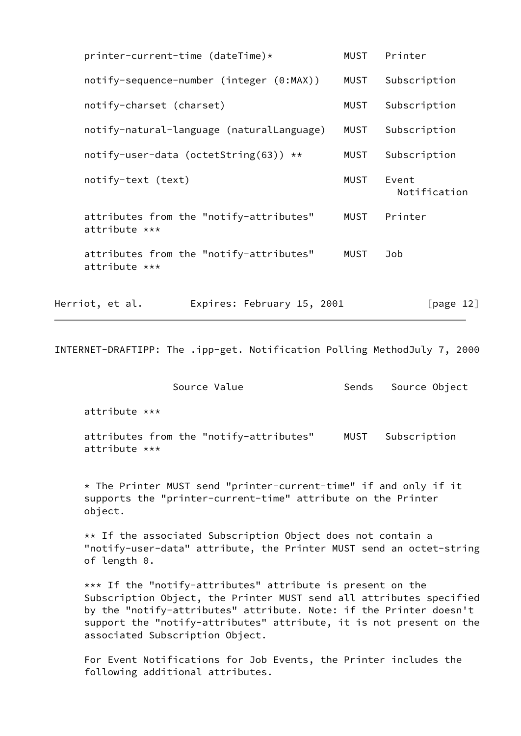|                          | printer-current-time (dateTime)*          | <b>MUST</b> | Printer               |
|--------------------------|-------------------------------------------|-------------|-----------------------|
|                          | notify-sequence-number (integer (0:MAX))  | MUST        | Subscription          |
| notify-charset (charset) |                                           | <b>MUST</b> | Subscription          |
|                          | notify-natural-language (naturalLanguage) | MUST        | Subscription          |
|                          | notify-user-data (octetString(63)) $**$   | MUST        | Subscription          |
| notify-text (text)       |                                           | MUST        | Event<br>Notification |
| attribute ***            | attributes from the "notify-attributes"   | MUST        | Printer               |
| attribute ***            | attributes from the "notify-attributes"   | MUST        | Job                   |
| Herriot, et al.          | Expires: February 15, 2001                |             | [page $12$ ]          |

INTERNET-DRAFTIPP: The .ipp-get. Notification Polling MethodJuly 7, 2000

| Source Value                                                                                                                                | Sends | Source Object |
|---------------------------------------------------------------------------------------------------------------------------------------------|-------|---------------|
| $attribute$ ***                                                                                                                             |       |               |
| attributes from the "notify-attributes"<br>$attribute$ ***                                                                                  | MUST  | Subscription  |
| * The Printer MUST send "printer-current-time" if and only if it<br>supports the "printer-current-time" attribute on the Printer<br>object. |       |               |
| $**$ If the associated Subscription Object does not contain a                                                                               |       |               |

 \*\* If the associated Subscription Object does not contain a "notify-user-data" attribute, the Printer MUST send an octet-string of length 0.

 \*\*\* If the "notify-attributes" attribute is present on the Subscription Object, the Printer MUST send all attributes specified by the "notify-attributes" attribute. Note: if the Printer doesn't support the "notify-attributes" attribute, it is not present on the associated Subscription Object.

 For Event Notifications for Job Events, the Printer includes the following additional attributes.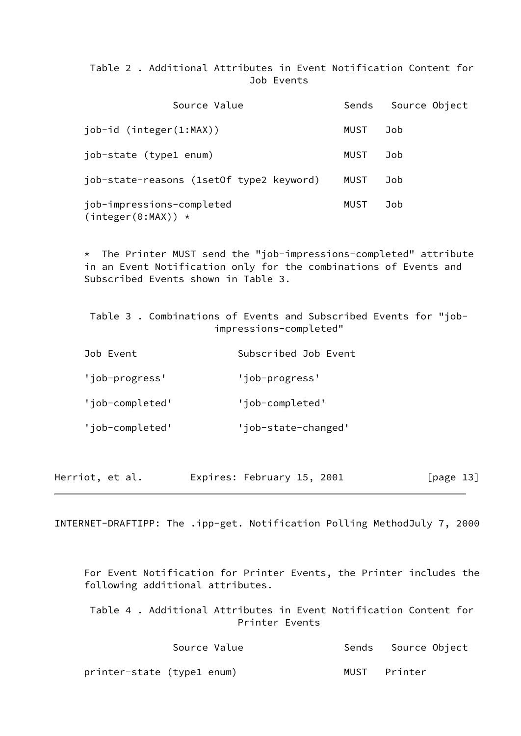# Table 2 . Additional Attributes in Event Notification Content for Job Events

| Source Value                                      | Sends | Source Object |
|---------------------------------------------------|-------|---------------|
| $job-id (integer(1:MAX))$                         | MUST  | Job           |
| job-state (type1 enum)                            | MUST  | Job           |
| job-state-reasons (1setOf type2 keyword)          | MUST  | Job           |
| job-impressions-completed<br>$(integer(0:MAX)) *$ | MUST  | Job           |

 \* The Printer MUST send the "job-impressions-completed" attribute in an Event Notification only for the combinations of Events and Subscribed Events shown in Table 3.

 Table 3 . Combinations of Events and Subscribed Events for "job impressions-completed"

| Job Event       | Subscribed Job Event |
|-----------------|----------------------|
| 'job-progress'  | 'job-progress'       |
| 'job-completed' | 'job-completed'      |
| 'job-completed' | 'job-state-changed'  |

| Herriot, et al. | Expires: February 15, 2001 | [ $page 13$ ] |
|-----------------|----------------------------|---------------|
|-----------------|----------------------------|---------------|

<span id="page-16-0"></span>INTERNET-DRAFTIPP: The .ipp-get. Notification Polling MethodJuly 7, 2000

 For Event Notification for Printer Events, the Printer includes the following additional attributes.

 Table 4 . Additional Attributes in Event Notification Content for Printer Events

| Source Value               | Sends Source Object |
|----------------------------|---------------------|
| printer-state (type1 enum) | MUST Printer        |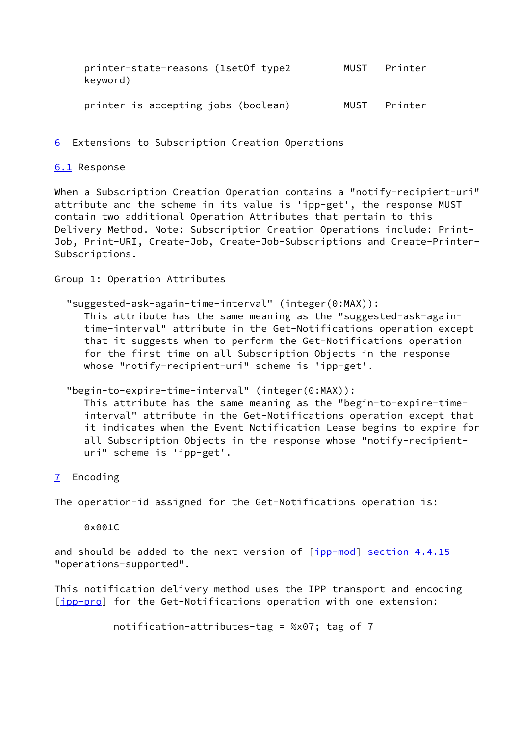| printer-state-reasons (1setOf type2<br>keyword) | MUST Printer |
|-------------------------------------------------|--------------|
| printer-is-accepting-jobs (boolean)             | MUST Printer |

<span id="page-17-0"></span>[6](#page-17-0) Extensions to Subscription Creation Operations

### <span id="page-17-1"></span>[6.1](#page-17-1) Response

When a Subscription Creation Operation contains a "notify-recipient-uri" attribute and the scheme in its value is 'ipp-get', the response MUST contain two additional Operation Attributes that pertain to this Delivery Method. Note: Subscription Creation Operations include: Print-Job, Print-URI, Create-Job, Create-Job-Subscriptions and Create-Printer-Subscriptions.

Group 1: Operation Attributes

"suggested-ask-again-time-interval" (integer(0:MAX)):

 This attribute has the same meaning as the "suggested-ask-again time-interval" attribute in the Get-Notifications operation except that it suggests when to perform the Get-Notifications operation for the first time on all Subscription Objects in the response whose "notify-recipient-uri" scheme is 'ipp-get'.

### "begin-to-expire-time-interval" (integer(0:MAX)):

 This attribute has the same meaning as the "begin-to-expire-time interval" attribute in the Get-Notifications operation except that it indicates when the Event Notification Lease begins to expire for all Subscription Objects in the response whose "notify-recipient uri" scheme is 'ipp-get'.

<span id="page-17-2"></span>[7](#page-17-2) Encoding

The operation-id assigned for the Get-Notifications operation is:

0x001C

and should be added to the next version of  $[ipp-mod]$  $[ipp-mod]$  section  $4.4.15$ "operations-supported".

This notification delivery method uses the IPP transport and encoding [\[ipp-pro](#page-19-0)] for the Get-Notifications operation with one extension:

```
 notification-attributes-tag = %x07; tag of 7
```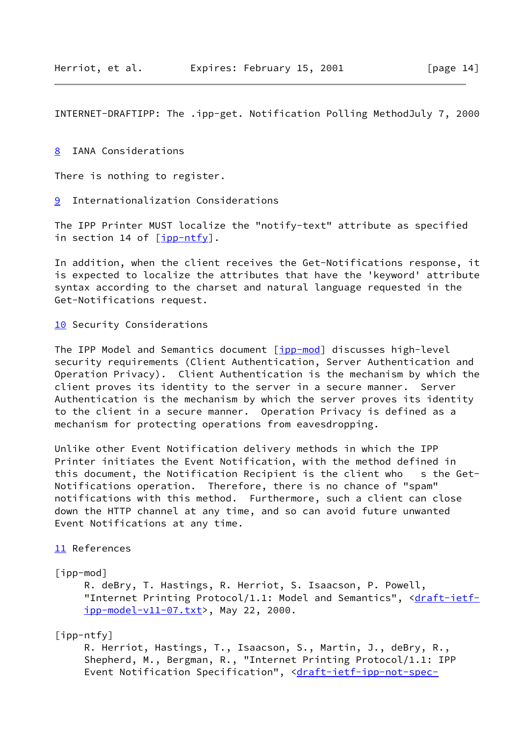<span id="page-18-3"></span>INTERNET-DRAFTIPP: The .ipp-get. Notification Polling MethodJuly 7, 2000

<span id="page-18-2"></span>[8](#page-18-2) IANA Considerations

There is nothing to register.

<span id="page-18-4"></span>[9](#page-18-4) Internationalization Considerations

The IPP Printer MUST localize the "notify-text" attribute as specified in section 14 of  $[ipp-ntfy]$  $[ipp-ntfy]$ .

In addition, when the client receives the Get-Notifications response, it is expected to localize the attributes that have the 'keyword' attribute syntax according to the charset and natural language requested in the Get-Notifications request.

[10](#page-9-2) Security Considerations

The IPP Model and Semantics document [[ipp-mod](#page-18-1)] discusses high-level security requirements (Client Authentication, Server Authentication and Operation Privacy). Client Authentication is the mechanism by which the client proves its identity to the server in a secure manner. Server Authentication is the mechanism by which the server proves its identity to the client in a secure manner. Operation Privacy is defined as a mechanism for protecting operations from eavesdropping.

Unlike other Event Notification delivery methods in which the IPP Printer initiates the Event Notification, with the method defined in this document, the Notification Recipient is the client who s the Get-Notifications operation. Therefore, there is no chance of "spam" notifications with this method. Furthermore, such a client can close down the HTTP channel at any time, and so can avoid future unwanted Event Notifications at any time.

#### [11](#page-9-3) References

<span id="page-18-1"></span>[ipp-mod]

 R. deBry, T. Hastings, R. Herriot, S. Isaacson, P. Powell, "Internet Printing Protocol/1.1: Model and Semantics", [<draft-ietf](https://datatracker.ietf.org/doc/pdf/draft-ietf-ipp-model-v11-07.txt) [ipp-model-v11-07.txt](https://datatracker.ietf.org/doc/pdf/draft-ietf-ipp-model-v11-07.txt)>, May 22, 2000.

<span id="page-18-0"></span>[ipp-ntfy]

 R. Herriot, Hastings, T., Isaacson, S., Martin, J., deBry, R., Shepherd, M., Bergman, R., "Internet Printing Protocol/1.1: IPP Event Notification Specification", [<draft-ietf-ipp-not-spec-](https://datatracker.ietf.org/doc/pdf/draft-ietf-ipp-not-spec-04.txt)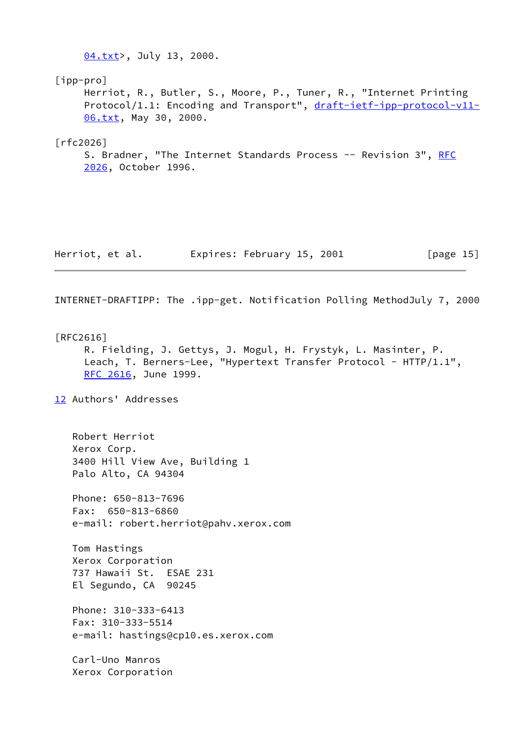<span id="page-19-1"></span><span id="page-19-0"></span> [04.txt](https://datatracker.ietf.org/doc/pdf/draft-ietf-ipp-not-spec-04.txt)>, July 13, 2000. [ipp-pro] Herriot, R., Butler, S., Moore, P., Tuner, R., "Internet Printing Protocol/1.1: Encoding and Transport", [draft-ietf-ipp-protocol-v11-](https://datatracker.ietf.org/doc/pdf/draft-ietf-ipp-protocol-v11-06.txt) [06.txt](https://datatracker.ietf.org/doc/pdf/draft-ietf-ipp-protocol-v11-06.txt), May 30, 2000. [rfc2026] S. Bradner, "The Internet Standards Process -- Revision 3", [RFC](https://datatracker.ietf.org/doc/pdf/rfc2026) [2026](https://datatracker.ietf.org/doc/pdf/rfc2026), October 1996. Herriot, et al. Expires: February 15, 2001 [page 15] INTERNET-DRAFTIPP: The .ipp-get. Notification Polling MethodJuly 7, 2000 [RFC2616] R. Fielding, J. Gettys, J. Mogul, H. Frystyk, L. Masinter, P. Leach, T. Berners-Lee, "Hypertext Transfer Protocol - HTTP/1.1", [RFC 2616](https://datatracker.ietf.org/doc/pdf/rfc2616), June 1999. [12](#page-9-4) Authors' Addresses Robert Herriot Xerox Corp. 3400 Hill View Ave, Building 1 Palo Alto, CA 94304 Phone: 650-813-7696 Fax: 650-813-6860 e-mail: robert.herriot@pahv.xerox.com Tom Hastings Xerox Corporation 737 Hawaii St. ESAE 231 El Segundo, CA 90245 Phone: 310-333-6413 Fax: 310-333-5514 e-mail: hastings@cp10.es.xerox.com Carl-Uno Manros Xerox Corporation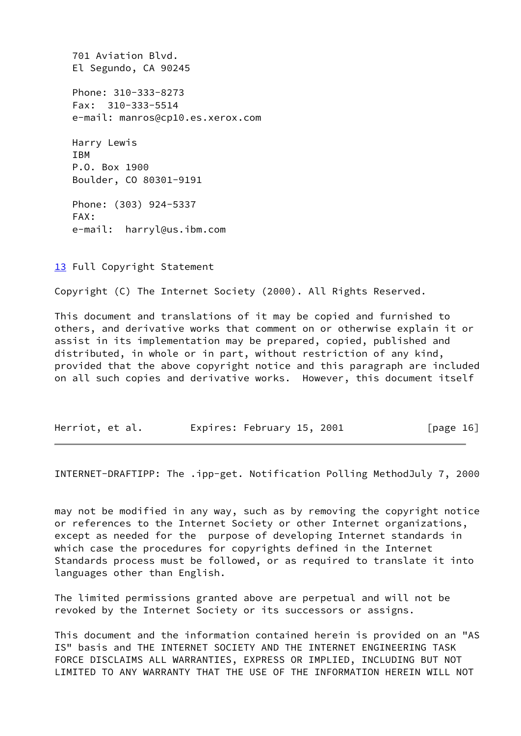701 Aviation Blvd. El Segundo, CA 90245 Phone: 310-333-8273 Fax: 310-333-5514 e-mail: manros@cp10.es.xerox.com Harry Lewis IBM P.O. Box 1900 Boulder, CO 80301-9191 Phone: (303) 924-5337 FAX: e-mail: harryl@us.ibm.com

[13](#page-9-5) Full Copyright Statement

Copyright (C) The Internet Society (2000). All Rights Reserved.

This document and translations of it may be copied and furnished to others, and derivative works that comment on or otherwise explain it or assist in its implementation may be prepared, copied, published and distributed, in whole or in part, without restriction of any kind, provided that the above copyright notice and this paragraph are included on all such copies and derivative works. However, this document itself

| Herriot, et al. | Expires: February 15, 2001 | [ $page 16$ ] |
|-----------------|----------------------------|---------------|
|-----------------|----------------------------|---------------|

INTERNET-DRAFTIPP: The .ipp-get. Notification Polling MethodJuly 7, 2000

may not be modified in any way, such as by removing the copyright notice or references to the Internet Society or other Internet organizations, except as needed for the purpose of developing Internet standards in which case the procedures for copyrights defined in the Internet Standards process must be followed, or as required to translate it into languages other than English.

The limited permissions granted above are perpetual and will not be revoked by the Internet Society or its successors or assigns.

This document and the information contained herein is provided on an "AS IS" basis and THE INTERNET SOCIETY AND THE INTERNET ENGINEERING TASK FORCE DISCLAIMS ALL WARRANTIES, EXPRESS OR IMPLIED, INCLUDING BUT NOT LIMITED TO ANY WARRANTY THAT THE USE OF THE INFORMATION HEREIN WILL NOT